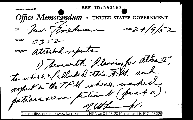ID:A60163 STANDARD FORM NO. 6 Office Memorandum UNITED STATES GOVERNMENT IO : Juv. Timedinan DATE:  $24/9/52$ FROM 1 SUBJECT: attached suports 1) Securith "Planning for attac I" to which Valluded this F. M. and arguet on the TPM whose marked partiens seem putinent (para 4 a). of cothermand,

)eclassified and approved for release by NSA on 01-23-2014  $\,$  pursuant to E.O.  $\,$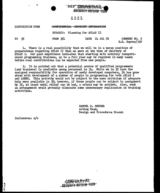

# $C$   $O$   $P$   $Y$

#### DISPOSITION FORM -CONFIDENTIAL SECURITY INFORMATION

SUBJECT: Planning for ATLAS II

TO 35

 $FROM$  351 DATE 14 Jul 52 COMMENT NO. 2

 $S.S.$  Snyder/329

1. There is a real possibility that we will be in a worse position of preparedness regarding ATLAS II than we were at the time of delivery of ATLAS I. Our past experience indicates that starting with entirely inexperienced programming trainees, up to a full year may be required in many cases before real contributions can be expected from new people.

2. It is pointed out that a potential source of qualified programmers (and trainees) is available among personnel in  $3\mu$ . While we in  $35$  have the assigned responsibility for operation of newly developed computers, 34 has gone ahead with development of' a number of people in programming for both ATLAS I and ABNER. This activity would not be subject to the same criticism if adequate help were available in  $35$ ; however, if these people can be subject to assignment by  $35$ , at least until relief can be had, a crisis may be avoided. Also, such an arrangement would probably eliminate some unnecessary duplication in training activities.

> SAMUEL S. SNYDER Acting Head., Design and Procedures Branch

Inclosures: n/ c

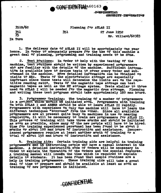

**CUNFIDENTIAL** SECORTTY INFORMATION

 $351B/62$ 351<br>35

Planning for ATLAS II

351

27 June 1952 Mr. Willard/60383

**In Turn** 

1. The delivery date of ATLAS II will be approximately one year In Order to adequately prepare for the use of this machine a hence. great deal of planning, programming and training needs to be done.

2. Test Routines: In order to help with the testing of the machine, test routines should be written by experienced programmers who are familiar with the details of the machine. Sufficient informa. tion is available here to devise tests to cover every order and subcommand in the machine. More detailed information can be obtained on visits to ERA. Tests of the electrostatic storage are especially important since these tests will determine the limits set on the repetitive reading ratio. Tests of the magnetic tape storage can test magnetic tapes as well as the MT st<sup>o</sup>rage system. Tests similar to those used On ATLAS I will be needed for the magnetic drum storage. Planning and writing these test programs should take approximately 160 man hours.

3. Programmer Training: The training of a number of programmers is a project which should be initiated soon. Programmers with training On both ATLAS I and ABNER should be able to learn ATLAS II rapidly. Programmers with experience on only one machine will have to learn the different techniques "borrowed" from the other. Since all available programmers are at present quite busy on machines in use or nearing completion, it will be necessary to train new programmers for ATLAS II. This process of training will take three months and should be initiated as soon as possible, since many of the new people will have to be hired. Time for training experienced personnel has been found to be about 2 months or about 100 man hours of instruction and assistance. Inexperienced programmers require at least another month of training or a total of about 150 man hours of instruction and assistance.

Training Aids: Certain training aids are helpful in training 4. programmers and in instructing people who have a casual interest in the machine. A detailed instruction code of orders will be necessary in Order to explain the Operation of the Orders and the special features. A training manual will lessen the time which is required to explain details to students. It has been found that sample routines are a help in training programmers. These training aids will take a great deal of time to prepare and should be available at least as soon as training of new programmers is initiated.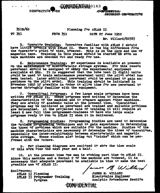**DISPOSITION** 

SECU<del>RITY INFORMATION</del>

CONTE DRESSTAT.

 $351B/62$ 

#### Planning for ATLAS II

CONFEDENTIALO163

TO 351

**FROM 351** DATE 27 June 1952 Nr. Willard/60383

5. Operator Training: Operators familiar with ATLAS I should have little trouble with ATLAS II. There is one big difference from the Operator's point of view, however. This is in the care and use of magnetic tape. Training in this phase should be started as soon as tape machines are checked out and ready for use.

Maintenance Training: Nº experience is available at present б. On the maintenance of electrostatic storage systems. For this reason personnel should be assigned to suidy the experimental equipment available at ERA. It is suggested that the tube test (5 digit) units could be used to train maintenance personnel until the pilot model has been tested. Later additional personnel could be assigned to gain experience on the pilot model. This training should be initiated in November 1952 if possible in order to allow time for new personnel to become thoroughly familiar with the equipment.

7. Operational Programs: A few large scale programs have been<br>written for ATLAS II. These programs were written to determine the characteristics of the machine and to compare against other machines. They are mostly of academic value at the present time. Operational programs may be initiated as personnel are trained and suitable problems are determined. At the projected rate of training it will require at least 6 new full time programmer-trainees to have six large scale programs ready to run on ATLAS II when it is delivered.

Programming Studies: Programming Studies are used to determine 8. the optimum programming techniques and to gain experience in determining the types of problems which are suitable for the machine. Studies of the machine characteristics are necessary to determine the times of operations. especially the inter-relationship between electrostatic and magnetic drum storage. These studies also bring out "tricks" which can be performed with the orders.

9. Two planning diagrams are enclosed to show the time scale of this work over the next year and a half.

10. At the present time one man is working part time on ATLAS II. since this machine and a Serial 2 of the machine are ordered, it is necessary that adequate personnel be available in time to make the best nossible use of ATLAS II.

<del>CONFIDENTIAL</del>

James M Willard

**EnclOsures:** ATLAS II Planning ATLAS II Programmer Training Program

JAMES M. WILLARD Electronics Engineer Analytic Procedures Section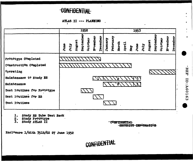### **CONFIDENTIAL**

ATLAS II --- PLANNING  $\mathbf{f}$ 

|                             | 1952 |      |        |          |         |                        |                 |        | 1953     |       |       |  |  |                     |        |          |         |          |                 |
|-----------------------------|------|------|--------|----------|---------|------------------------|-----------------|--------|----------|-------|-------|--|--|---------------------|--------|----------|---------|----------|-----------------|
|                             | June | July | August | Septembe | October | <b><i>November</i></b> | <b>December</b> | Jamary | February | March | April |  |  | May<br>June<br>July | August | Septembe | Cotober | November | <b>December</b> |
| Prototype Completed         |      |      |        |          |         |                        |                 |        |          |       |       |  |  |                     |        |          |         |          |                 |
| Construction Completed      |      |      |        |          |         |                        |                 |        |          |       |       |  |  |                     |        |          |         |          |                 |
| Operating                   |      |      |        |          |         |                        |                 |        |          |       |       |  |  |                     |        |          |         |          |                 |
| Maintenance to Study ES     |      |      |        |          |         |                        |                 |        |          |       |       |  |  |                     |        |          |         |          |                 |
| Maintenance                 |      |      |        |          |         |                        |                 |        |          | `ջ∖   |       |  |  |                     |        |          |         |          |                 |
| Test Routines for Prototype |      |      |        |          |         |                        |                 |        |          |       |       |  |  |                     |        |          |         |          |                 |
| Test Routines for ES        |      |      |        |          |         |                        |                 |        |          |       |       |  |  |                     |        |          |         |          |                 |
| Test Routines               |      |      |        |          |         |                        |                 |        |          |       |       |  |  |                     |        |          |         |          |                 |

CONFIDENTIAL

- **Study ES Tube Test Rack<br>Study Prototype<br>Study ATLAS II**  $\mathbf{I}$ .
- $\frac{2}{3}$ .
- 

**CONFIDENTIAL** -SECURITY INFORMATION A

**REF** 

ID: A60163

Enclosure 1/With 351B/62 27 June 1952